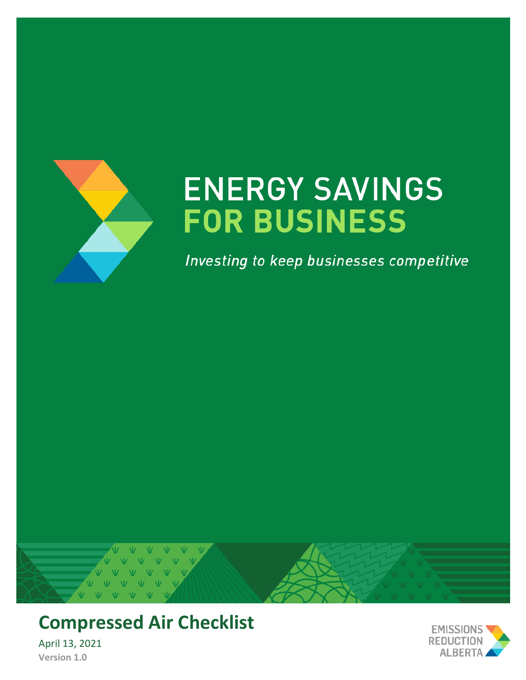

# **ENERGY SAVINGS FOR BUSINESS**

Investing to keep businesses competitive



# **Compressed Air Checklist**

April 13, 2021 **Version 1.0**

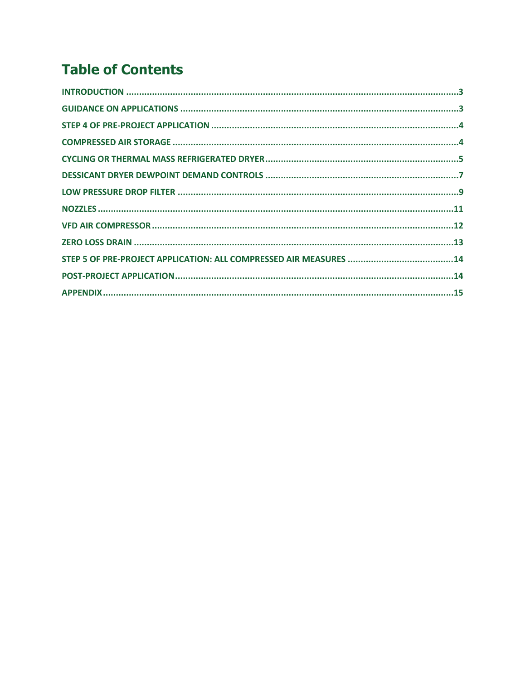## **Table of Contents**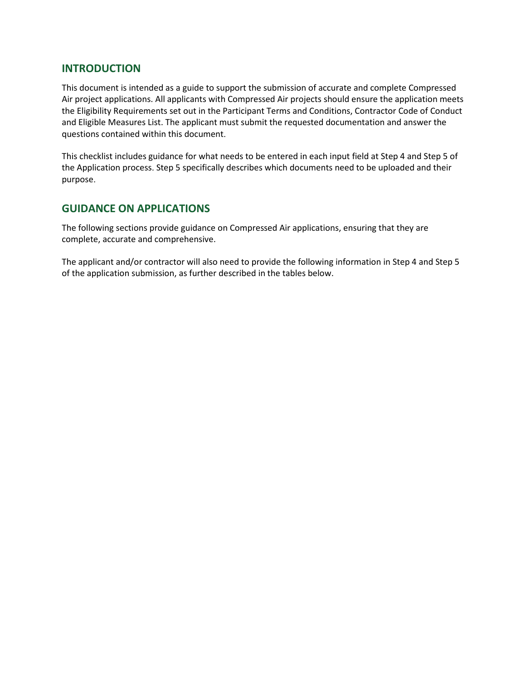#### <span id="page-2-0"></span>**INTRODUCTION**

This document is intended as a guide to support the submission of accurate and complete Compressed Air project applications. All applicants with Compressed Air projects should ensure the application meets the Eligibility Requirements set out in the Participant Terms and Conditions, Contractor Code of Conduct and Eligible Measures List. The applicant must submit the requested documentation and answer the questions contained within this document.

This checklist includes guidance for what needs to be entered in each input field at Step 4 and Step 5 of the Application process. Step 5 specifically describes which documents need to be uploaded and their purpose.

#### <span id="page-2-1"></span>**GUIDANCE ON APPLICATIONS**

The following sections provide guidance on Compressed Air applications, ensuring that they are complete, accurate and comprehensive.

The applicant and/or contractor will also need to provide the following information in Step 4 and Step 5 of the application submission, as further described in the tables below.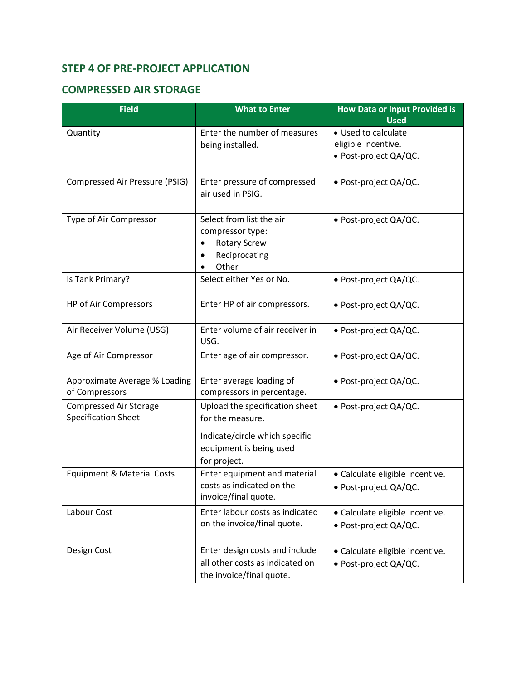## <span id="page-3-0"></span>**STEP 4 OF PRE-PROJECT APPLICATION**

#### <span id="page-3-1"></span>**COMPRESSED AIR STORAGE**

| <b>Field</b>                                                | <b>What to Enter</b>                                                                                                            | <b>How Data or Input Provided is</b><br><b>Used</b>                 |
|-------------------------------------------------------------|---------------------------------------------------------------------------------------------------------------------------------|---------------------------------------------------------------------|
| Quantity                                                    | Enter the number of measures<br>being installed.                                                                                | • Used to calculate<br>eligible incentive.<br>· Post-project QA/QC. |
| Compressed Air Pressure (PSIG)                              | Enter pressure of compressed<br>air used in PSIG.                                                                               | · Post-project QA/QC.                                               |
| Type of Air Compressor                                      | Select from list the air<br>compressor type:<br><b>Rotary Screw</b><br>٠<br>Reciprocating<br>Other                              | · Post-project QA/QC.                                               |
| Is Tank Primary?                                            | Select either Yes or No.                                                                                                        | · Post-project QA/QC.                                               |
| HP of Air Compressors                                       | Enter HP of air compressors.                                                                                                    | · Post-project QA/QC.                                               |
| Air Receiver Volume (USG)                                   | Enter volume of air receiver in<br>USG.                                                                                         | · Post-project QA/QC.                                               |
| Age of Air Compressor                                       | Enter age of air compressor.                                                                                                    | · Post-project QA/QC.                                               |
| Approximate Average % Loading<br>of Compressors             | Enter average loading of<br>compressors in percentage.                                                                          | • Post-project QA/QC.                                               |
| <b>Compressed Air Storage</b><br><b>Specification Sheet</b> | Upload the specification sheet<br>for the measure.<br>Indicate/circle which specific<br>equipment is being used<br>for project. | · Post-project QA/QC.                                               |
| <b>Equipment &amp; Material Costs</b>                       | Enter equipment and material<br>costs as indicated on the<br>invoice/final quote.                                               | · Calculate eligible incentive.<br>· Post-project QA/QC.            |
| Labour Cost                                                 | Enter labour costs as indicated<br>on the invoice/final quote.                                                                  | · Calculate eligible incentive.<br>· Post-project QA/QC.            |
| Design Cost                                                 | Enter design costs and include<br>all other costs as indicated on<br>the invoice/final quote.                                   | • Calculate eligible incentive.<br>· Post-project QA/QC.            |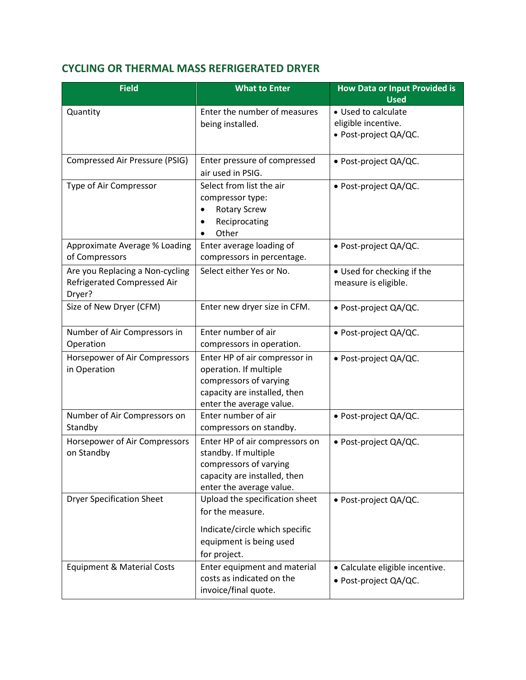### <span id="page-4-0"></span>**CYCLING OR THERMAL MASS REFRIGERATED DRYER**

| <b>Field</b>                                                             | <b>What to Enter</b>                                                                                                                          | <b>How Data or Input Provided is</b><br><b>Used</b>                 |
|--------------------------------------------------------------------------|-----------------------------------------------------------------------------------------------------------------------------------------------|---------------------------------------------------------------------|
| Quantity                                                                 | Enter the number of measures<br>being installed.                                                                                              | • Used to calculate<br>eligible incentive.<br>· Post-project QA/QC. |
| Compressed Air Pressure (PSIG)                                           | Enter pressure of compressed<br>air used in PSIG.                                                                                             | • Post-project QA/QC.                                               |
| Type of Air Compressor                                                   | Select from list the air<br>compressor type:<br><b>Rotary Screw</b><br>Reciprocating<br>Other<br>$\bullet$                                    | · Post-project QA/QC.                                               |
| Approximate Average % Loading<br>of Compressors                          | Enter average loading of<br>compressors in percentage.                                                                                        | · Post-project QA/QC.                                               |
| Are you Replacing a Non-cycling<br>Refrigerated Compressed Air<br>Dryer? | Select either Yes or No.                                                                                                                      | • Used for checking if the<br>measure is eligible.                  |
| Size of New Dryer (CFM)                                                  | Enter new dryer size in CFM.                                                                                                                  | · Post-project QA/QC.                                               |
| Number of Air Compressors in<br>Operation                                | Enter number of air<br>compressors in operation.                                                                                              | · Post-project QA/QC.                                               |
| Horsepower of Air Compressors<br>in Operation                            | Enter HP of air compressor in<br>operation. If multiple<br>compressors of varying<br>capacity are installed, then<br>enter the average value. | · Post-project QA/QC.                                               |
| Number of Air Compressors on<br>Standby                                  | Enter number of air<br>compressors on standby.                                                                                                | · Post-project QA/QC.                                               |
| Horsepower of Air Compressors<br>on Standby                              | Enter HP of air compressors on<br>standby. If multiple<br>compressors of varying<br>capacity are installed, then<br>enter the average value.  | · Post-project QA/QC.                                               |
| <b>Dryer Specification Sheet</b>                                         | Upload the specification sheet<br>for the measure.<br>Indicate/circle which specific<br>equipment is being used<br>for project.               | · Post-project QA/QC.                                               |
| <b>Equipment &amp; Material Costs</b>                                    | Enter equipment and material<br>costs as indicated on the<br>invoice/final quote.                                                             | · Calculate eligible incentive.<br>· Post-project QA/QC.            |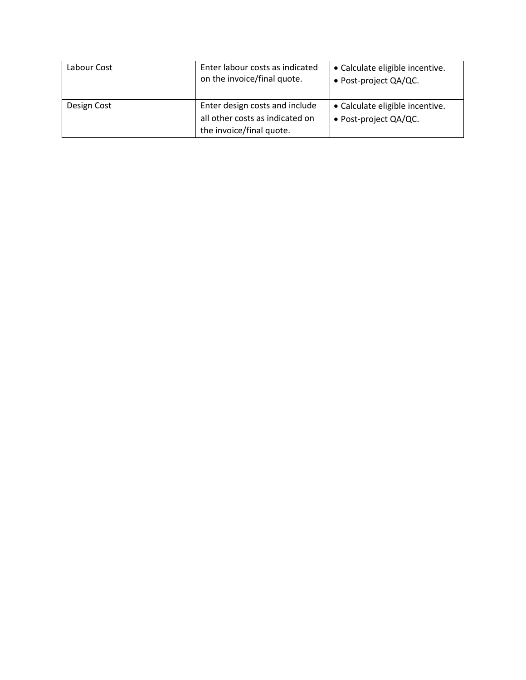| Labour Cost | Enter labour costs as indicated<br>on the invoice/final quote.    | • Calculate eligible incentive.<br>• Post-project QA/QC. |
|-------------|-------------------------------------------------------------------|----------------------------------------------------------|
| Design Cost | Enter design costs and include<br>all other costs as indicated on | • Calculate eligible incentive.<br>• Post-project QA/QC. |
|             | the invoice/final quote.                                          |                                                          |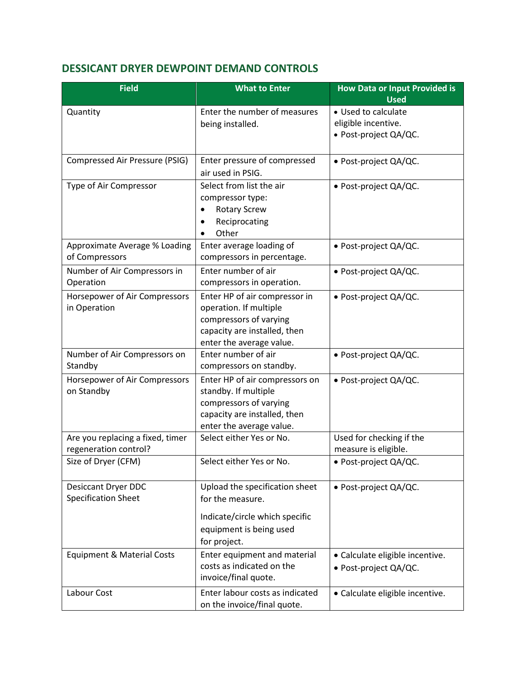### <span id="page-6-0"></span>**DESSICANT DRYER DEWPOINT DEMAND CONTROLS**

| <b>Field</b>                          | <b>What to Enter</b>                                     | <b>How Data or Input Provided is</b><br><b>Used</b> |
|---------------------------------------|----------------------------------------------------------|-----------------------------------------------------|
| Quantity                              | Enter the number of measures                             | • Used to calculate                                 |
|                                       | being installed.                                         | eligible incentive.                                 |
|                                       |                                                          | · Post-project QA/QC.                               |
| Compressed Air Pressure (PSIG)        | Enter pressure of compressed                             | · Post-project QA/QC.                               |
|                                       | air used in PSIG.                                        |                                                     |
| Type of Air Compressor                | Select from list the air                                 | · Post-project QA/QC.                               |
|                                       | compressor type:                                         |                                                     |
|                                       | <b>Rotary Screw</b>                                      |                                                     |
|                                       | Reciprocating                                            |                                                     |
|                                       | Other                                                    |                                                     |
| Approximate Average % Loading         | Enter average loading of                                 | · Post-project QA/QC.                               |
| of Compressors                        | compressors in percentage.                               |                                                     |
| Number of Air Compressors in          | Enter number of air                                      | · Post-project QA/QC.                               |
| Operation                             | compressors in operation.                                |                                                     |
| Horsepower of Air Compressors         | Enter HP of air compressor in                            | · Post-project QA/QC.                               |
| in Operation                          | operation. If multiple                                   |                                                     |
|                                       | compressors of varying                                   |                                                     |
|                                       | capacity are installed, then                             |                                                     |
|                                       | enter the average value.                                 |                                                     |
| Number of Air Compressors on          | Enter number of air                                      | · Post-project QA/QC.                               |
| Standby                               | compressors on standby.                                  |                                                     |
| Horsepower of Air Compressors         | Enter HP of air compressors on                           | · Post-project QA/QC.                               |
| on Standby                            | standby. If multiple                                     |                                                     |
|                                       | compressors of varying                                   |                                                     |
|                                       | capacity are installed, then<br>enter the average value. |                                                     |
| Are you replacing a fixed, timer      | Select either Yes or No.                                 | Used for checking if the                            |
| regeneration control?                 |                                                          | measure is eligible.                                |
| Size of Dryer (CFM)                   | Select either Yes or No.                                 | · Post-project QA/QC.                               |
|                                       |                                                          |                                                     |
| Desiccant Dryer DDC                   | Upload the specification sheet                           | • Post-project QA/QC.                               |
| <b>Specification Sheet</b>            | for the measure.                                         |                                                     |
|                                       | Indicate/circle which specific                           |                                                     |
|                                       | equipment is being used                                  |                                                     |
|                                       | for project.                                             |                                                     |
| <b>Equipment &amp; Material Costs</b> | Enter equipment and material                             | • Calculate eligible incentive.                     |
|                                       | costs as indicated on the                                | · Post-project QA/QC.                               |
|                                       | invoice/final quote.                                     |                                                     |
| Labour Cost                           | Enter labour costs as indicated                          | • Calculate eligible incentive.                     |
|                                       | on the invoice/final quote.                              |                                                     |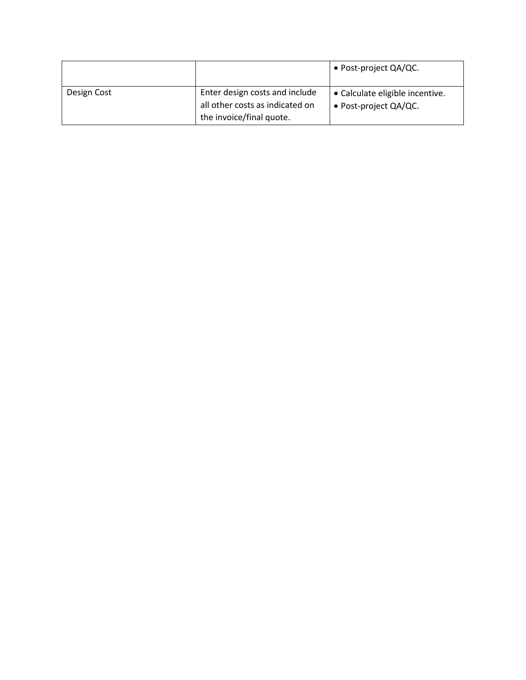|             |                                 | • Post-project QA/QC.           |
|-------------|---------------------------------|---------------------------------|
| Design Cost | Enter design costs and include  | • Calculate eligible incentive. |
|             | all other costs as indicated on | • Post-project QA/QC.           |
|             | the invoice/final quote.        |                                 |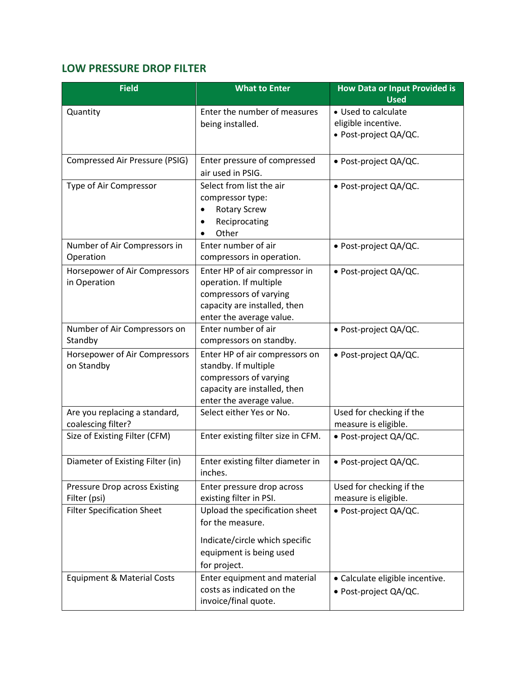### <span id="page-8-0"></span>**LOW PRESSURE DROP FILTER**

| <b>Field</b>                          | <b>What to Enter</b>               | <b>How Data or Input Provided is</b><br><b>Used</b> |
|---------------------------------------|------------------------------------|-----------------------------------------------------|
| Quantity                              | Enter the number of measures       | • Used to calculate                                 |
|                                       | being installed.                   | eligible incentive.                                 |
|                                       |                                    | · Post-project QA/QC.                               |
|                                       |                                    |                                                     |
| Compressed Air Pressure (PSIG)        | Enter pressure of compressed       | · Post-project QA/QC.                               |
|                                       | air used in PSIG.                  |                                                     |
| Type of Air Compressor                | Select from list the air           | · Post-project QA/QC.                               |
|                                       | compressor type:                   |                                                     |
|                                       | <b>Rotary Screw</b>                |                                                     |
|                                       | Reciprocating                      |                                                     |
|                                       | Other                              |                                                     |
| Number of Air Compressors in          | Enter number of air                | • Post-project QA/QC.                               |
| Operation                             | compressors in operation.          |                                                     |
| Horsepower of Air Compressors         | Enter HP of air compressor in      | · Post-project QA/QC.                               |
| in Operation                          | operation. If multiple             |                                                     |
|                                       | compressors of varying             |                                                     |
|                                       | capacity are installed, then       |                                                     |
|                                       | enter the average value.           |                                                     |
| Number of Air Compressors on          | Enter number of air                | · Post-project QA/QC.                               |
| Standby                               | compressors on standby.            |                                                     |
| Horsepower of Air Compressors         | Enter HP of air compressors on     | · Post-project QA/QC.                               |
| on Standby                            | standby. If multiple               |                                                     |
|                                       | compressors of varying             |                                                     |
|                                       | capacity are installed, then       |                                                     |
|                                       | enter the average value.           |                                                     |
| Are you replacing a standard,         | Select either Yes or No.           | Used for checking if the                            |
| coalescing filter?                    |                                    | measure is eligible.                                |
| Size of Existing Filter (CFM)         | Enter existing filter size in CFM. | · Post-project QA/QC.                               |
|                                       |                                    |                                                     |
| Diameter of Existing Filter (in)      | Enter existing filter diameter in  | · Post-project QA/QC.                               |
|                                       | inches.                            |                                                     |
| <b>Pressure Drop across Existing</b>  | Enter pressure drop across         | Used for checking if the                            |
| Filter (psi)                          | existing filter in PSI.            | measure is eligible.                                |
| <b>Filter Specification Sheet</b>     | Upload the specification sheet     | · Post-project QA/QC.                               |
|                                       | for the measure.                   |                                                     |
|                                       | Indicate/circle which specific     |                                                     |
|                                       | equipment is being used            |                                                     |
|                                       | for project.                       |                                                     |
| <b>Equipment &amp; Material Costs</b> | Enter equipment and material       | • Calculate eligible incentive.                     |
|                                       | costs as indicated on the          | • Post-project QA/QC.                               |
|                                       | invoice/final quote.               |                                                     |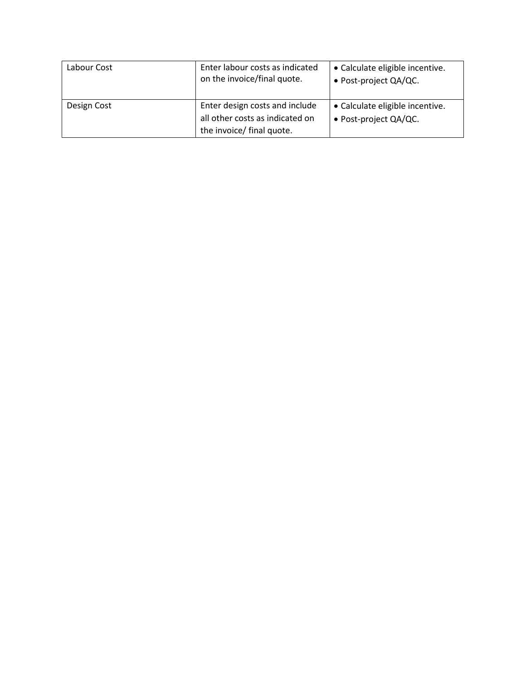| Labour Cost | Enter labour costs as indicated<br>on the invoice/final quote.                                 | • Calculate eligible incentive.<br>• Post-project QA/QC. |
|-------------|------------------------------------------------------------------------------------------------|----------------------------------------------------------|
| Design Cost | Enter design costs and include<br>all other costs as indicated on<br>the invoice/ final quote. | • Calculate eligible incentive.<br>• Post-project QA/QC. |
|             |                                                                                                |                                                          |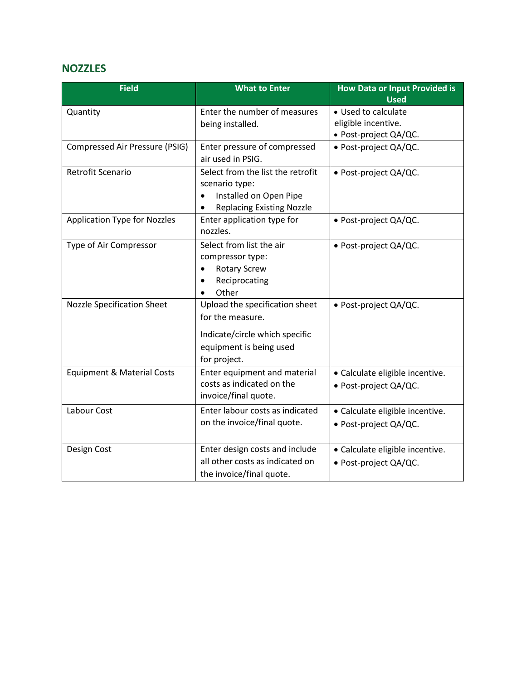#### <span id="page-10-0"></span>**NOZZLES**

| <b>Field</b>                          | <b>What to Enter</b>                | <b>How Data or Input Provided is</b> |
|---------------------------------------|-------------------------------------|--------------------------------------|
|                                       |                                     | <b>Used</b>                          |
| Quantity                              | Enter the number of measures        | • Used to calculate                  |
|                                       | being installed.                    | eligible incentive.                  |
|                                       |                                     | · Post-project QA/QC.                |
| Compressed Air Pressure (PSIG)        | Enter pressure of compressed        | · Post-project QA/QC.                |
|                                       | air used in PSIG.                   |                                      |
| Retrofit Scenario                     | Select from the list the retrofit   | · Post-project QA/QC.                |
|                                       | scenario type:                      |                                      |
|                                       | Installed on Open Pipe<br>$\bullet$ |                                      |
|                                       | <b>Replacing Existing Nozzle</b>    |                                      |
| <b>Application Type for Nozzles</b>   | Enter application type for          | · Post-project QA/QC.                |
|                                       | nozzles.                            |                                      |
| Type of Air Compressor                | Select from list the air            | · Post-project QA/QC.                |
|                                       | compressor type:                    |                                      |
|                                       | <b>Rotary Screw</b>                 |                                      |
|                                       | Reciprocating                       |                                      |
|                                       | Other                               |                                      |
| <b>Nozzle Specification Sheet</b>     | Upload the specification sheet      | · Post-project QA/QC.                |
|                                       | for the measure.                    |                                      |
|                                       |                                     |                                      |
|                                       | Indicate/circle which specific      |                                      |
|                                       | equipment is being used             |                                      |
|                                       | for project.                        |                                      |
| <b>Equipment &amp; Material Costs</b> | Enter equipment and material        | · Calculate eligible incentive.      |
|                                       | costs as indicated on the           | · Post-project QA/QC.                |
|                                       | invoice/final quote.                |                                      |
| Labour Cost                           | Enter labour costs as indicated     | · Calculate eligible incentive.      |
|                                       | on the invoice/final quote.         | · Post-project QA/QC.                |
|                                       |                                     |                                      |
| Design Cost                           | Enter design costs and include      | · Calculate eligible incentive.      |
|                                       | all other costs as indicated on     | · Post-project QA/QC.                |
|                                       | the invoice/final quote.            |                                      |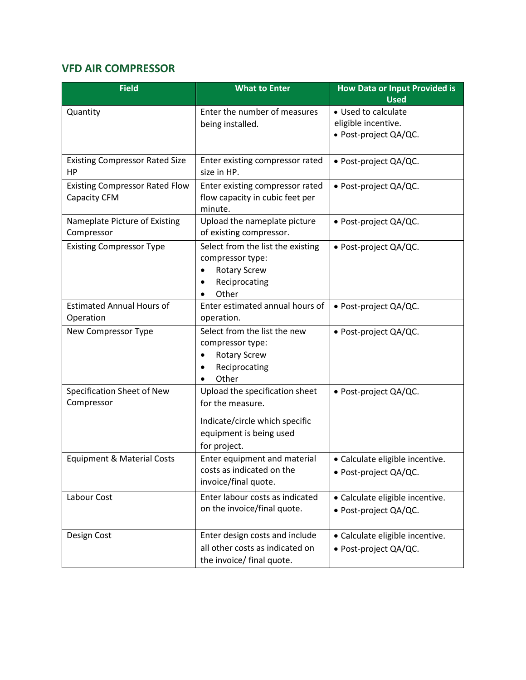### <span id="page-11-0"></span>**VFD AIR COMPRESSOR**

| <b>Field</b>                                          | <b>What to Enter</b>                                                                                                            | <b>How Data or Input Provided is</b><br><b>Used</b>                 |
|-------------------------------------------------------|---------------------------------------------------------------------------------------------------------------------------------|---------------------------------------------------------------------|
| Quantity                                              | Enter the number of measures<br>being installed.                                                                                | • Used to calculate<br>eligible incentive.<br>· Post-project QA/QC. |
| <b>Existing Compressor Rated Size</b><br>HP           | Enter existing compressor rated<br>size in HP.                                                                                  | • Post-project QA/QC.                                               |
| <b>Existing Compressor Rated Flow</b><br>Capacity CFM | Enter existing compressor rated<br>flow capacity in cubic feet per<br>minute.                                                   | · Post-project QA/QC.                                               |
| Nameplate Picture of Existing<br>Compressor           | Upload the nameplate picture<br>of existing compressor.                                                                         | · Post-project QA/QC.                                               |
| <b>Existing Compressor Type</b>                       | Select from the list the existing<br>compressor type:<br><b>Rotary Screw</b><br>Reciprocating<br>Other                          | · Post-project QA/QC.                                               |
| <b>Estimated Annual Hours of</b><br>Operation         | Enter estimated annual hours of<br>operation.                                                                                   | · Post-project QA/QC.                                               |
| New Compressor Type                                   | Select from the list the new<br>compressor type:<br><b>Rotary Screw</b><br>Reciprocating<br>$\bullet$<br>Other                  | · Post-project QA/QC.                                               |
| Specification Sheet of New<br>Compressor              | Upload the specification sheet<br>for the measure.<br>Indicate/circle which specific<br>equipment is being used<br>for project. | · Post-project QA/QC.                                               |
| <b>Equipment &amp; Material Costs</b>                 | Enter equipment and material<br>costs as indicated on the<br>invoice/final quote.                                               | · Calculate eligible incentive.<br>· Post-project QA/QC.            |
| Labour Cost                                           | Enter labour costs as indicated<br>on the invoice/final quote.                                                                  | · Calculate eligible incentive.<br>· Post-project QA/QC.            |
| Design Cost                                           | Enter design costs and include<br>all other costs as indicated on<br>the invoice/ final quote.                                  | • Calculate eligible incentive.<br>· Post-project QA/QC.            |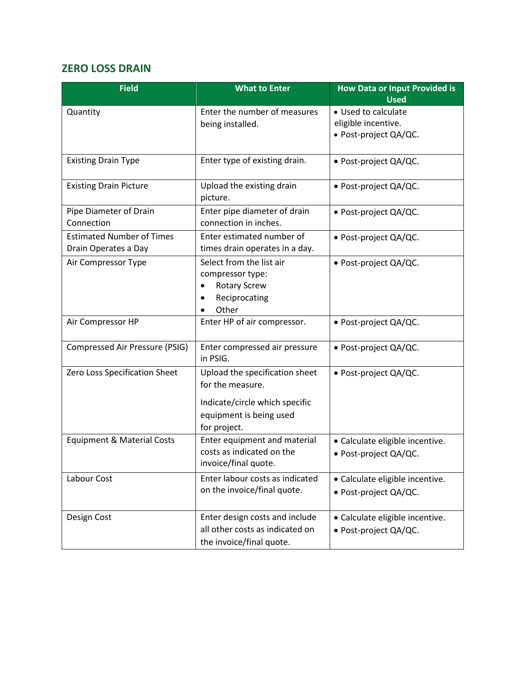#### <span id="page-12-0"></span>**ZERO LOSS DRAIN**

| <b>Field</b>                                             | <b>What to Enter</b>                                                                                                            | <b>How Data or Input Provided is</b><br><b>Used</b>                 |
|----------------------------------------------------------|---------------------------------------------------------------------------------------------------------------------------------|---------------------------------------------------------------------|
| Quantity                                                 | Enter the number of measures<br>being installed.                                                                                | • Used to calculate<br>eligible incentive.<br>· Post-project QA/QC. |
| <b>Existing Drain Type</b>                               | Enter type of existing drain.                                                                                                   | · Post-project QA/QC.                                               |
| <b>Existing Drain Picture</b>                            | Upload the existing drain<br>picture.                                                                                           | • Post-project QA/QC.                                               |
| Pipe Diameter of Drain<br>Connection                     | Enter pipe diameter of drain<br>connection in inches.                                                                           | · Post-project QA/QC.                                               |
| <b>Estimated Number of Times</b><br>Drain Operates a Day | Enter estimated number of<br>times drain operates in a day.                                                                     | · Post-project QA/QC.                                               |
| Air Compressor Type                                      | Select from the list air<br>compressor type:<br><b>Rotary Screw</b><br>$\bullet$<br>Reciprocating<br>Other                      | · Post-project QA/QC.                                               |
| Air Compressor HP                                        | Enter HP of air compressor.                                                                                                     | · Post-project QA/QC.                                               |
| Compressed Air Pressure (PSIG)                           | Enter compressed air pressure<br>in PSIG.                                                                                       | · Post-project QA/QC.                                               |
| Zero Loss Specification Sheet                            | Upload the specification sheet<br>for the measure.<br>Indicate/circle which specific<br>equipment is being used<br>for project. | · Post-project QA/QC.                                               |
| <b>Equipment &amp; Material Costs</b>                    | Enter equipment and material<br>costs as indicated on the<br>invoice/final quote.                                               | • Calculate eligible incentive.<br>· Post-project QA/QC.            |
| Labour Cost                                              | Enter labour costs as indicated<br>on the invoice/final quote.                                                                  | • Calculate eligible incentive.<br>· Post-project QA/QC.            |
| Design Cost                                              | Enter design costs and include<br>all other costs as indicated on<br>the invoice/final quote.                                   | • Calculate eligible incentive.<br>· Post-project QA/QC.            |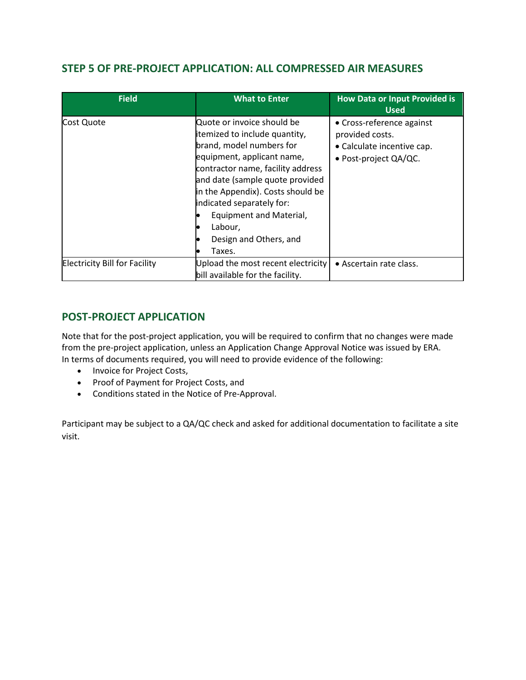#### <span id="page-13-0"></span>**STEP 5 OF PRE-PROJECT APPLICATION: ALL COMPRESSED AIR MEASURES**

| <b>Field</b>                         | <b>What to Enter</b>                                                                                                                                                                                                                                                                                                                      | <b>How Data or Input Provided is</b><br><b>Used</b>                                                 |
|--------------------------------------|-------------------------------------------------------------------------------------------------------------------------------------------------------------------------------------------------------------------------------------------------------------------------------------------------------------------------------------------|-----------------------------------------------------------------------------------------------------|
| Cost Quote                           | Quote or invoice should be<br>itemized to include quantity,<br>brand, model numbers for<br>equipment, applicant name,<br>contractor name, facility address<br>and date (sample quote provided<br>in the Appendix). Costs should be<br>indicated separately for:<br>Equipment and Material,<br>Labour,<br>Design and Others, and<br>Taxes. | • Cross-reference against<br>provided costs.<br>• Calculate incentive cap.<br>· Post-project QA/QC. |
| <b>Electricity Bill for Facility</b> | Upload the most recent electricity<br>bill available for the facility.                                                                                                                                                                                                                                                                    | • Ascertain rate class.                                                                             |

#### <span id="page-13-1"></span>**POST-PROJECT APPLICATION**

Note that for the post-project application, you will be required to confirm that no changes were made from the pre-project application, unless an Application Change Approval Notice was issued by ERA. In terms of documents required, you will need to provide evidence of the following:

- Invoice for Project Costs,
- Proof of Payment for Project Costs, and
- Conditions stated in the Notice of Pre-Approval.

Participant may be subject to a QA/QC check and asked for additional documentation to facilitate a site visit.